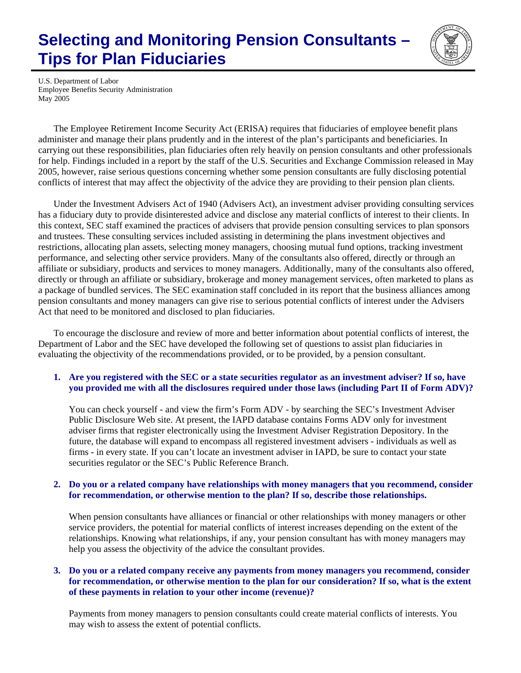# **Selecting and Monitoring Pension Consultants – Tips for Plan Fiduciaries**



 Employee Benefits Security Administration May 2005 U.S. Department of Labor

The Employee Retirement Income Security Act (ERISA) requires that fiduciaries of employee benefit plans administer and manage their plans prudently and in the interest of the plan's participants and beneficiaries. In carrying out these responsibilities, plan fiduciaries often rely heavily on pension consultants and other professionals for help. Findings included in a report by the staff of the U.S. Securities and Exchange Commission released in May 2005, however, raise serious questions concerning whether some pension consultants are fully disclosing potential conflicts of interest that may affect the objectivity of the advice they are providing to their pension plan clients.

Under the Investment Advisers Act of 1940 (Advisers Act), an investment adviser providing consulting services has a fiduciary duty to provide disinterested advice and disclose any material conflicts of interest to their clients. In this context, SEC staff examined the practices of advisers that provide pension consulting services to plan sponsors and trustees. These consulting services included assisting in determining the plans investment objectives and restrictions, allocating plan assets, selecting money managers, choosing mutual fund options, tracking investment performance, and selecting other service providers. Many of the consultants also offered, directly or through an affiliate or subsidiary, products and services to money managers. Additionally, many of the consultants also offered, directly or through an affiliate or subsidiary, brokerage and money management services, often marketed to plans as a package of bundled services. The SEC examination staff concluded in its report that the business alliances among pension consultants and money managers can give rise to serious potential conflicts of interest under the Advisers Act that need to be monitored and disclosed to plan fiduciaries.

 evaluating the objectivity of the recommendations provided, or to be provided, by a pension consultant. To encourage the disclosure and review of more and better information about potential conflicts of interest, the Department of Labor and the SEC have developed the following set of questions to assist plan fiduciaries in

# **1. Are you registered with the SEC or a state securities regulator as an investment adviser? If so, have you provided me with all the disclosures required under those laws (including Part II of Form ADV)?**

You can check yourself - and view the firm's Form ADV - by searching the SEC's Investment Adviser Public Disclosure Web site. At present, the IAPD database contains Forms ADV only for investment adviser firms that register electronically using the Investment Adviser Registration Depository. In the future, the database will expand to encompass all registered investment advisers - individuals as well as firms - in every state. If you can't locate an investment adviser in IAPD, be sure to contact your state securities regulator or the SEC's Public Reference Branch.

# **2. Do you or a related company have relationships with money managers that you recommend, consider for recommendation, or otherwise mention to the plan? If so, describe those relationships.**

When pension consultants have alliances or financial or other relationships with money managers or other service providers, the potential for material conflicts of interest increases depending on the extent of the relationships. Knowing what relationships, if any, your pension consultant has with money managers may help you assess the objectivity of the advice the consultant provides.

# **3. Do you or a related company receive any payments from money managers you recommend, consider for recommendation, or otherwise mention to the plan for our consideration? If so, what is the extent of these payments in relation to your other income (revenue)?**

Payments from money managers to pension consultants could create material conflicts of interests. You may wish to assess the extent of potential conflicts.